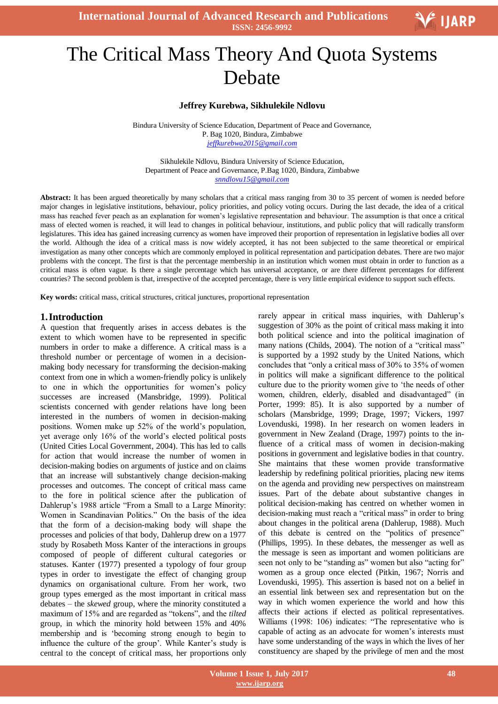

# Ξ The Critical Mass Theory And Quota Systems Debate

#### **Jeffrey Kurebwa, Sikhulekile Ndlovu**

Bindura University of Science Education, Department of Peace and Governance, P. Bag 1020, Bindura, Zimbabwe *jeffkurebwa2015@gmail.com*

Sikhulekile Ndlovu, Bindura University of Science Education, Department of Peace and Governance, P.Bag 1020, Bindura, Zimbabwe *snndlovu15@gmail.com*

Abstract: It has been argued theoretically by many scholars that a critical mass ranging from 30 to 35 percent of women is needed before major changes in legislative institutions, behaviour, policy priorities, and policy voting occurs. During the last decade, the idea of a critical mass has reached fever peach as an explanation for women"s legislative representation and behaviour. The assumption is that once a critical mass of elected women is reached, it will lead to changes in political behaviour, institutions, and public policy that will radically transform legislatures. This idea has gained increasing currency as women have improved their proportion of representation in legislative bodies all over the world. Although the idea of a critical mass is now widely accepted, it has not been subjected to the same theoretical or empirical investigation as many other concepts which are commonly employed in political representation and participation debates. There are two major problems with the concept. The first is that the percentage membership in an institution which women must obtain in order to function as a critical mass is often vague. Is there a single percentage which has universal acceptance, or are there different percentages for different countries? The second problem is that, irrespective of the accepted percentage, there is very little empirical evidence to support such effects.

**Key words:** critical mass, critical structures, critical junctures, proportional representation

#### **1.Introduction**

A question that frequently arises in access debates is the extent to which women have to be represented in specific numbers in order to make a difference. A critical mass is a threshold number or percentage of women in a decisionmaking body necessary for transforming the decision-making context from one in which a women-friendly policy is unlikely to one in which the opportunities for women"s policy successes are increased (Mansbridge, 1999). Political scientists concerned with gender relations have long been interested in the numbers of women in decision-making positions. Women make up 52% of the world"s population, yet average only 16% of the world"s elected political posts (United Cities Local Government, 2004). This has led to calls for action that would increase the number of women in decision-making bodies on arguments of justice and on claims that an increase will substantively change decision-making processes and outcomes. The concept of critical mass came to the fore in political science after the publication of Dahlerup's 1988 article "From a Small to a Large Minority: Women in Scandinavian Politics." On the basis of the idea that the form of a decision-making body will shape the processes and policies of that body, Dahlerup drew on a 1977 study by Rosabeth Moss Kanter of the interactions in groups composed of people of different cultural categories or statuses. Kanter (1977) presented a typology of four group types in order to investigate the effect of changing group dynamics on organisational culture. From her work, two group types emerged as the most important in critical mass debates – the *skewed* group, where the minority constituted a maximum of 15% and are regarded as "tokens", and the *tilted*  group, in which the minority hold between 15% and 40% membership and is "becoming strong enough to begin to influence the culture of the group'. While Kanter's study is central to the concept of critical mass, her proportions only rarely appear in critical mass inquiries, with Dahlerup's suggestion of 30% as the point of critical mass making it into both political science and into the political imagination of many nations (Childs, 2004). The notion of a "critical mass" is supported by a 1992 study by the United Nations, which concludes that "only a critical mass of 30% to 35% of women in politics will make a significant difference to the political culture due to the priority women give to "the needs of other women, children, elderly, disabled and disadvantaged" (in Porter, 1999: 85). It is also supported by a number of scholars (Mansbridge, 1999; Drage, 1997; Vickers, 1997 Lovenduski, 1998). In her research on women leaders in government in New Zealand (Drage, 1997) points to the influence of a critical mass of women in decision-making positions in government and legislative bodies in that country. She maintains that these women provide transformative leadership by redefining political priorities, placing new items on the agenda and providing new perspectives on mainstream issues. Part of the debate about substantive changes in political decision-making has centred on whether women in decision-making must reach a "critical mass" in order to bring about changes in the political arena (Dahlerup, 1988). Much of this debate is centred on the "politics of presence" (Phillips, 1995). In these debates, the messenger as well as the message is seen as important and women politicians are seen not only to be "standing as" women but also "acting for" women as a group once elected (Pitkin, 1967; Norris and Lovenduski, 1995). This assertion is based not on a belief in an essential link between sex and representation but on the way in which women experience the world and how this affects their actions if elected as political representatives. Williams (1998: 106) indicates: "The representative who is capable of acting as an advocate for women"s interests must have some understanding of the ways in which the lives of her constituency are shaped by the privilege of men and the most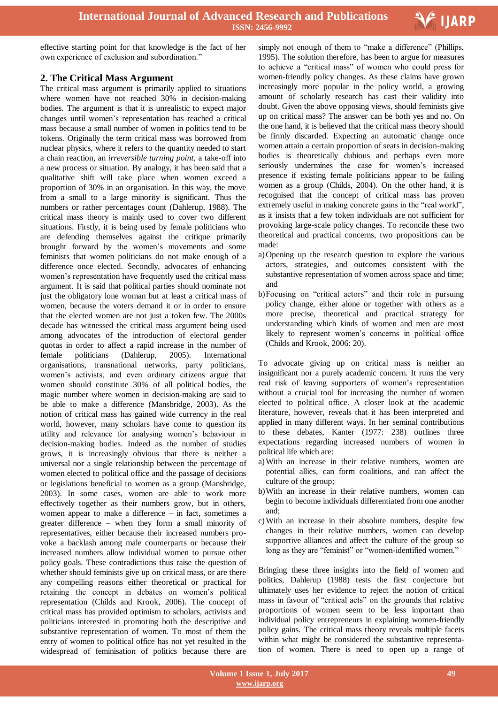

effective starting point for that knowledge is the fact of her own experience of exclusion and subordination."

## **2. The Critical Mass Argument**

The critical mass argument is primarily applied to situations where women have not reached 30% in decision-making bodies. The argument is that it is unrealistic to expect major changes until women"s representation has reached a critical mass because a small number of women in politics tend to be tokens. Originally the term critical mass was borrowed from nuclear physics, where it refers to the quantity needed to start a chain reaction, an *irreversible turning point,* a take-off into a new process or situation. By analogy, it has been said that a qualitative shift will take place when women exceed a proportion of 30% in an organisation. In this way, the move from a small to a large minority is significant. Thus the numbers or rather percentages count (Dahlerup, 1988). The critical mass theory is mainly used to cover two different situations. Firstly, it is being used by female politicians who are defending themselves against the critique primarily brought forward by the women"s movements and some feminists that women politicians do not make enough of a difference once elected. Secondly, advocates of enhancing women"s representation have frequently used the critical mass argument. It is said that political parties should nominate not just the obligatory lone woman but at least a critical mass of women, because the voters demand it or in order to ensure that the elected women are not just a token few. The 2000s decade has witnessed the critical mass argument being used among advocates of the introduction of electoral gender quotas in order to affect a rapid increase in the number of female politicians (Dahlerup, 2005). International organisations, transnational networks, party politicians, women"s activists, and even ordinary citizens argue that women should constitute 30% of all political bodies, the magic number where women in decision-making are said to be able to make a difference (Mansbridge, 2003). As the notion of critical mass has gained wide currency in the real world, however, many scholars have come to question its utility and relevance for analysing women"s behaviour in decision-making bodies. Indeed as the number of studies grows, it is increasingly obvious that there is neither a universal nor a single relationship between the percentage of women elected to political office and the passage of decisions or legislations beneficial to women as a group (Mansbridge, 2003). In some cases, women are able to work more effectively together as their numbers grow, but in others, women appear to make a difference – in fact, sometimes a greater difference – when they form a small minority of representatives, either because their increased numbers provoke a backlash among male counterparts or because their increased numbers allow individual women to pursue other policy goals. These contradictions thus raise the question of whether should feminists give up on critical mass, or are there any compelling reasons either theoretical or practical for retaining the concept in debates on women"s political representation (Childs and Krook, 2006). The concept of critical mass has provided optimism to scholars, activists and politicians interested in promoting both the descriptive and substantive representation of women. To most of them the entry of women to political office has not yet resulted in the widespread of feminisation of politics because there are

simply not enough of them to "make a difference" (Phillips, 1995). The solution therefore, has been to argue for measures to achieve a "critical mass" of women who could press for women-friendly policy changes. As these claims have grown increasingly more popular in the policy world, a growing amount of scholarly research has cast their validity into doubt. Given the above opposing views, should feminists give up on critical mass? The answer can be both yes and no. On the one hand, it is believed that the critical mass theory should be firmly discarded. Expecting an automatic change once women attain a certain proportion of seats in decision-making bodies is theoretically dubious and perhaps even more seriously undermines the case for women's increased presence if existing female politicians appear to be failing women as a group (Childs, 2004). On the other hand, it is recognised that the concept of critical mass has proven extremely useful in making concrete gains in the "real world", as it insists that a few token individuals are not sufficient for provoking large-scale policy changes. To reconcile these two theoretical and practical concerns, two propositions can be made:

- a)Opening up the research question to explore the various actors, strategies, and outcomes consistent with the substantive representation of women across space and time; and
- b)Focusing on "critical actors" and their role in pursuing policy change, either alone or together with others as a more precise, theoretical and practical strategy for understanding which kinds of women and men are most likely to represent women"s concerns in political office (Childs and Krook, 2006: 20).

To advocate giving up on critical mass is neither an insignificant nor a purely academic concern. It runs the very real risk of leaving supporters of women"s representation without a crucial tool for increasing the number of women elected to political office. A closer look at the academic literature, however, reveals that it has been interpreted and applied in many different ways. In her seminal contributions to these debates, Kanter (1977: 238) outlines three expectations regarding increased numbers of women in political life which are:

- a)With an increase in their relative numbers, women are potential allies, can form coalitions, and can affect the culture of the group;
- b)With an increase in their relative numbers, women can begin to become individuals differentiated from one another and;
- c)With an increase in their absolute numbers, despite few changes in their relative numbers, women can develop supportive alliances and affect the culture of the group so long as they are "feminist" or "women-identified women."

Bringing these three insights into the field of women and politics, Dahlerup (1988) tests the first conjecture but ultimately uses her evidence to reject the notion of critical mass in favour of "critical acts" on the grounds that relative proportions of women seem to be less important than individual policy entrepreneurs in explaining women-friendly policy gains. The critical mass theory reveals multiple facets within what might be considered the substantive representation of women. There is need to open up a range of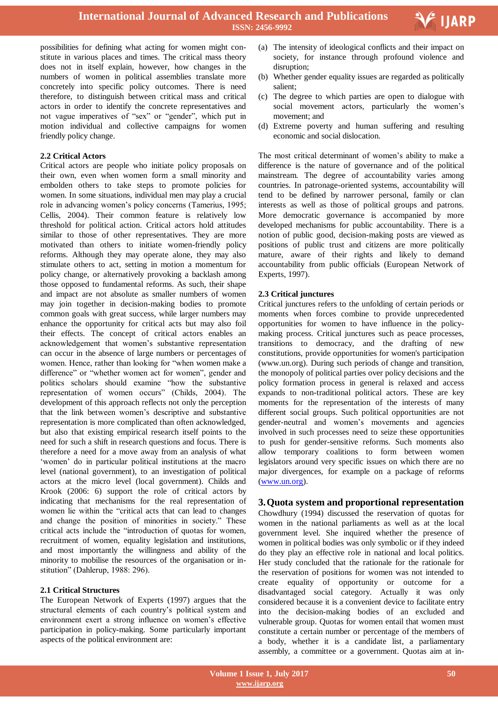

possibilities for defining what acting for women might constitute in various places and times. The critical mass theory does not in itself explain, however, how changes in the numbers of women in political assemblies translate more concretely into specific policy outcomes. There is need therefore, to distinguish between critical mass and critical actors in order to identify the concrete representatives and not vague imperatives of "sex" or "gender", which put in motion individual and collective campaigns for women friendly policy change.

#### **2.2 Critical Actors**

Critical actors are people who initiate policy proposals on their own, even when women form a small minority and embolden others to take steps to promote policies for women. In some situations, individual men may play a crucial role in advancing women"s policy concerns (Tamerius, 1995; Cellis, 2004). Their common feature is relatively low threshold for political action. Critical actors hold attitudes similar to those of other representatives. They are more motivated than others to initiate women-friendly policy reforms. Although they may operate alone, they may also stimulate others to act, setting in motion a momentum for policy change, or alternatively provoking a backlash among those opposed to fundamental reforms. As such, their shape and impact are not absolute as smaller numbers of women may join together in decision-making bodies to promote common goals with great success, while larger numbers may enhance the opportunity for critical acts but may also foil their effects. The concept of critical actors enables an acknowledgement that women"s substantive representation can occur in the absence of large numbers or percentages of women. Hence, rather than looking for "when women make a difference" or "whether women act for women", gender and politics scholars should examine "how the substantive representation of women occurs" (Childs, 2004). The development of this approach reflects not only the perception that the link between women"s descriptive and substantive representation is more complicated than often acknowledged, but also that existing empirical research itself points to the need for such a shift in research questions and focus. There is therefore a need for a move away from an analysis of what "women" do in particular political institutions at the macro level (national government), to an investigation of political actors at the micro level (local government). Childs and Krook (2006: 6) support the role of critical actors by indicating that mechanisms for the real representation of women lie within the "critical acts that can lead to changes and change the position of minorities in society." These critical acts include the "introduction of quotas for women, recruitment of women, equality legislation and institutions, and most importantly the willingness and ability of the minority to mobilise the resources of the organisation or institution" (Dahlerup, 1988: 296).

#### **2.1 Critical Structures**

The European Network of Experts (1997) argues that the structural elements of each country"s political system and environment exert a strong influence on women"s effective participation in policy-making. Some particularly important aspects of the political environment are:

- (a) The intensity of ideological conflicts and their impact on society, for instance through profound violence and disruption;
- (b) Whether gender equality issues are regarded as politically salient;
- (c) The degree to which parties are open to dialogue with social movement actors, particularly the women's movement; and
- (d) Extreme poverty and human suffering and resulting economic and social dislocation.

The most critical determinant of women's ability to make a difference is the nature of governance and of the political mainstream. The degree of accountability varies among countries. In patronage-oriented systems, accountability will tend to be defined by narrower personal, family or clan interests as well as those of political groups and patrons. More democratic governance is accompanied by more developed mechanisms for public accountability. There is a notion of public good, decision-making posts are viewed as positions of public trust and citizens are more politically mature, aware of their rights and likely to demand accountability from public officials (European Network of Experts, 1997).

## **2.3 Critical junctures**

Critical junctures refers to the unfolding of certain periods or moments when forces combine to provide unprecedented opportunities for women to have influence in the policymaking process. Critical junctures such as peace processes, transitions to democracy, and the drafting of new constitutions, provide opportunities for women's participation (www.un.org). During such periods of change and transition, the monopoly of political parties over policy decisions and the policy formation process in general is relaxed and access expands to non-traditional political actors. These are key moments for the representation of the interests of many different social groups. Such political opportunities are not gender-neutral and women"s movements and agencies involved in such processes need to seize these opportunities to push for gender-sensitive reforms. Such moments also allow temporary coalitions to form between women legislators around very specific issues on which there are no major divergences, for example on a package of reforms (www.un.org).

## **3.Quota system and proportional representation**

Chowdhury (1994) discussed the reservation of quotas for women in the national parliaments as well as at the local government level. She inquired whether the presence of women in political bodies was only symbolic or if they indeed do they play an effective role in national and local politics. Her study concluded that the rationale for the rationale for the reservation of positions for women was not intended to create equality of opportunity or outcome for a disadvantaged social category. Actually it was only considered because it is a convenient device to facilitate entry into the decision-making bodies of an excluded and vulnerable group. Quotas for women entail that women must constitute a certain number or percentage of the members of a body, whether it is a candidate list, a parliamentary assembly, a committee or a government. Quotas aim at in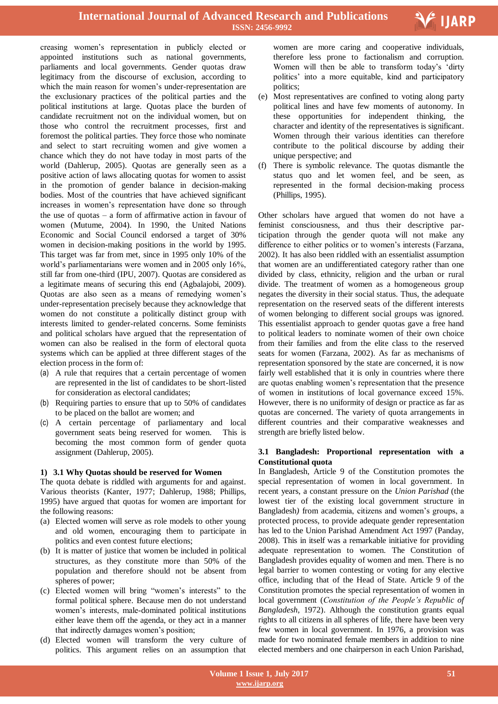creasing women"s representation in publicly elected or appointed institutions such as national governments, parliaments and local governments. Gender quotas draw legitimacy from the discourse of exclusion, according to which the main reason for women's under-representation are the exclusionary practices of the political parties and the political institutions at large. Quotas place the burden of candidate recruitment not on the individual women, but on those who control the recruitment processes, first and foremost the political parties. They force those who nominate and select to start recruiting women and give women a chance which they do not have today in most parts of the world (Dahlerup, 2005). Quotas are generally seen as a positive action of laws allocating quotas for women to assist in the promotion of gender balance in decision-making bodies. Most of the countries that have achieved significant increases in women"s representation have done so through the use of quotas – a form of affirmative action in favour of women (Mutume, 2004). In 1990, the United Nations Economic and Social Council endorsed a target of 30% women in decision-making positions in the world by 1995. This target was far from met, since in 1995 only 10% of the world"s parliamentarians were women and in 2005 only 16%, still far from one-third (IPU, 2007). Quotas are considered as a legitimate means of securing this end (Agbalajobi, 2009). Quotas are also seen as a means of remedying women"s under-representation precisely because they acknowledge that women do not constitute a politically distinct group with interests limited to gender-related concerns. Some feminists and political scholars have argued that the representation of women can also be realised in the form of electoral quota systems which can be applied at three different stages of the election process in the form of:

- (a) A rule that requires that a certain percentage of women are represented in the list of candidates to be short-listed for consideration as electoral candidates;
- (b) Requiring parties to ensure that up to 50% of candidates to be placed on the ballot are women; and
- (c) A certain percentage of parliamentary and local government seats being reserved for women. This is becoming the most common form of gender quota assignment (Dahlerup, 2005).

## **1) 3.1 Why Quotas should be reserved for Women**

The quota debate is riddled with arguments for and against. Various theorists (Kanter, 1977; Dahlerup, 1988; Phillips, 1995) have argued that quotas for women are important for the following reasons:

- (a) Elected women will serve as role models to other young and old women, encouraging them to participate in politics and even contest future elections;
- (b) It is matter of justice that women be included in political structures, as they constitute more than 50% of the population and therefore should not be absent from spheres of power;
- (c) Elected women will bring "women"s interests" to the formal political sphere. Because men do not understand women"s interests, male-dominated political institutions either leave them off the agenda, or they act in a manner that indirectly damages women"s position;
- (d) Elected women will transform the very culture of politics. This argument relies on an assumption that

 women are more caring and cooperative individuals, therefore less prone to factionalism and corruption. Women will then be able to transform today"s "dirty politics" into a more equitable, kind and participatory politics;

V IJARP

- (e) Most representatives are confined to voting along party political lines and have few moments of autonomy. In these opportunities for independent thinking, the character and identity of the representatives is significant. Women through their various identities can therefore contribute to the political discourse by adding their unique perspective; and
- (f) There is symbolic relevance. The quotas dismantle the status quo and let women feel, and be seen, as represented in the formal decision-making process (Phillips, 1995).

Other scholars have argued that women do not have a feminist consciousness, and thus their descriptive participation through the gender quota will not make any difference to either politics or to women's interests (Farzana, 2002). It has also been riddled with an essentialist assumption that women are an undifferentiated category rather than one divided by class, ethnicity, religion and the urban or rural divide. The treatment of women as a homogeneous group negates the diversity in their social status. Thus, the adequate representation on the reserved seats of the different interests of women belonging to different social groups was ignored. This essentialist approach to gender quotas gave a free hand to political leaders to nominate women of their own choice from their families and from the elite class to the reserved seats for women (Farzana, 2002). As far as mechanisms of representation sponsored by the state are concerned, it is now fairly well established that it is only in countries where there are quotas enabling women"s representation that the presence of women in institutions of local governance exceed 15%. However, there is no uniformity of design or practice as far as quotas are concerned. The variety of quota arrangements in different countries and their comparative weaknesses and strength are briefly listed below.

## **3.1 Bangladesh: Proportional representation with a Constitutional quota**

In Bangladesh, Article 9 of the Constitution promotes the special representation of women in local government. In recent years, a constant pressure on the *Union Parishad* (the lowest tier of the existing local government structure in Bangladesh) from academia, citizens and women's groups, a protected process, to provide adequate gender representation has led to the Union Parishad Amendment Act 1997 (Panday, 2008). This in itself was a remarkable initiative for providing adequate representation to women. The Constitution of Bangladesh provides equality of women and men. There is no legal barrier to women contesting or voting for any elective office, including that of the Head of State. Article 9 of the Constitution promotes the special representation of women in local government (*Constitution of the People's Republic of Bangladesh*, 1972). Although the constitution grants equal rights to all citizens in all spheres of life, there have been very few women in local government. In 1976, a provision was made for two nominated female members in addition to nine elected members and one chairperson in each Union Parishad,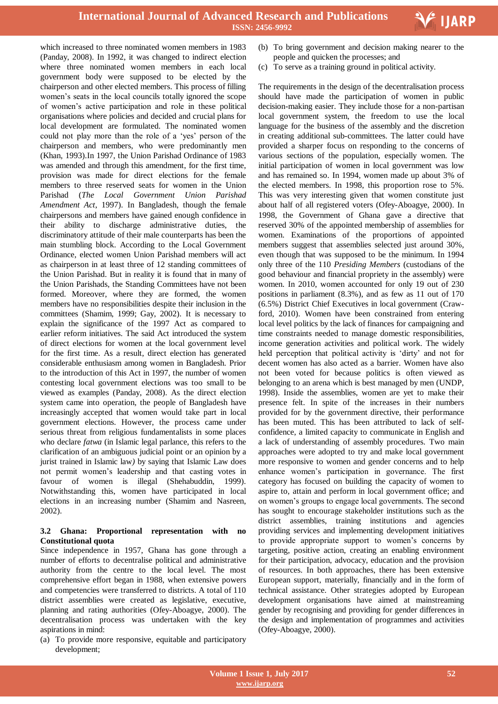which increased to three nominated women members in 1983 (Panday, 2008). In 1992, it was changed to indirect election where three nominated women members in each local government body were supposed to be elected by the chairperson and other elected members. This process of filling women"s seats in the local councils totally ignored the scope of women"s active participation and role in these political organisations where policies and decided and crucial plans for local development are formulated. The nominated women could not play more than the role of a "yes" person of the chairperson and members, who were predominantly men (Khan, 1993).In 1997, the Union Parishad Ordinance of 1983 was amended and through this amendment, for the first time, provision was made for direct elections for the female members to three reserved seats for women in the Union Parishad (*The Local Government Union Parishad Amendment Act*, 1997). In Bangladesh, though the female chairpersons and members have gained enough confidence in their ability to discharge administrative duties, the discriminatory attitude of their male counterparts has been the main stumbling block. According to the Local Government Ordinance, elected women Union Parishad members will act as chairperson in at least three of 12 standing committees of the Union Parishad. But in reality it is found that in many of the Union Parishads, the Standing Committees have not been formed. Moreover, where they are formed, the women members have no responsibilities despite their inclusion in the committees (Shamim, 1999; Gay, 2002). It is necessary to explain the significance of the 1997 Act as compared to earlier reform initiatives. The said Act introduced the system of direct elections for women at the local government level for the first time. As a result, direct election has generated considerable enthusiasm among women in Bangladesh. Prior to the introduction of this Act in 1997, the number of women contesting local government elections was too small to be viewed as examples (Panday, 2008). As the direct election system came into operation, the people of Bangladesh have increasingly accepted that women would take part in local government elections. However, the process came under serious threat from religious fundamentalists in some places who declare *fatwa* (in Islamic legal parlance, this refers to the clarification of an ambiguous judicial point or an opinion by a jurist trained in Islamic law*)* by saying that Islamic Law does not permit women"s leadership and that casting votes in favour of women is illegal (Shehabuddin, 1999). Notwithstanding this, women have participated in local elections in an increasing number (Shamim and Nasreen, 2002).

## **3.2 Ghana: Proportional representation with no Constitutional quota**

Since independence in 1957, Ghana has gone through a number of efforts to decentralise political and administrative authority from the centre to the local level. The most comprehensive effort began in 1988, when extensive powers and competencies were transferred to districts. A total of 110 district assemblies were created as legislative, executive, planning and rating authorities (Ofey-Aboagye, 2000). The decentralisation process was undertaken with the key aspirations in mind:

(a) To provide more responsive, equitable and participatory development;

 (b) To bring government and decision making nearer to the people and quicken the processes; and

V IJARP

(c) To serve as a training ground in political activity.

The requirements in the design of the decentralisation process should have made the participation of women in public decision-making easier. They include those for a non-partisan local government system, the freedom to use the local language for the business of the assembly and the discretion in creating additional sub-committees. The latter could have provided a sharper focus on responding to the concerns of various sections of the population, especially women. The initial participation of women in local government was low and has remained so. In 1994, women made up about 3% of the elected members. In 1998, this proportion rose to 5%. This was very interesting given that women constitute just about half of all registered voters (Ofey-Aboagye, 2000). In 1998, the Government of Ghana gave a directive that reserved 30% of the appointed membership of assemblies for women. Examinations of the proportions of appointed members suggest that assemblies selected just around 30%, even though that was supposed to be the minimum. In 1994 only three of the 110 *Presiding Members* (custodians of the good behaviour and financial propriety in the assembly) were women. In 2010, women accounted for only 19 out of 230 positions in parliament (8.3%), and as few as 11 out of 170 (6.5%) District Chief Executives in local government (Crawford, 2010). Women have been constrained from entering local level politics by the lack of finances for campaigning and time constraints needed to manage domestic responsibilities, income generation activities and political work. The widely held perception that political activity is 'dirty' and not for decent women has also acted as a barrier. Women have also not been voted for because politics is often viewed as belonging to an arena which is best managed by men (UNDP, 1998). Inside the assemblies, women are yet to make their presence felt. In spite of the increases in their numbers provided for by the government directive, their performance has been muted. This has been attributed to lack of selfconfidence, a limited capacity to communicate in English and a lack of understanding of assembly procedures. Two main approaches were adopted to try and make local government more responsive to women and gender concerns and to help enhance women"s participation in governance. The first category has focused on building the capacity of women to aspire to, attain and perform in local government office; and on women"s groups to engage local governments. The second has sought to encourage stakeholder institutions such as the district assemblies, training institutions and agencies providing services and implementing development initiatives to provide appropriate support to women"s concerns by targeting, positive action, creating an enabling environment for their participation, advocacy, education and the provision of resources. In both approaches, there has been extensive European support, materially, financially and in the form of technical assistance. Other strategies adopted by European development organisations have aimed at mainstreaming gender by recognising and providing for gender differences in the design and implementation of programmes and activities (Ofey-Aboagye, 2000).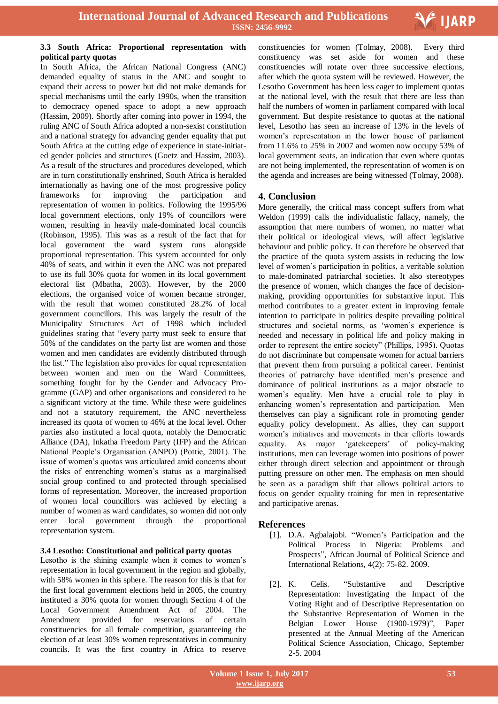

## **3.3 South Africa: Proportional representation with political party quotas**

In South Africa, the African National Congress (ANC) demanded equality of status in the ANC and sought to expand their access to power but did not make demands for special mechanisms until the early 1990s, when the transition to democracy opened space to adopt a new approach (Hassim, 2009). Shortly after coming into power in 1994, the ruling ANC of South Africa adopted a non-sexist constitution and a national strategy for advancing gender equality that put South Africa at the cutting edge of experience in state-initiated gender policies and structures (Goetz and Hassim, 2003). As a result of the structures and procedures developed, which are in turn constitutionally enshrined, South Africa is heralded internationally as having one of the most progressive policy frameworks for improving the participation and representation of women in politics. Following the 1995/96 local government elections, only 19% of councillors were women, resulting in heavily male-dominated local councils (Robinson, 1995). This was as a result of the fact that for local government the ward system runs alongside proportional representation. This system accounted for only 40% of seats, and within it even the ANC was not prepared to use its full 30% quota for women in its local government electoral list (Mbatha, 2003). However, by the 2000 elections, the organised voice of women became stronger, with the result that women constituted 28.2% of local government councillors. This was largely the result of the Municipality Structures Act of 1998 which included guidelines stating that "every party must seek to ensure that 50% of the candidates on the party list are women and those women and men candidates are evidently distributed through the list." The legislation also provides for equal representation between women and men on the Ward Committees, something fought for by the Gender and Advocacy Programme (GAP) and other organisations and considered to be a significant victory at the time. While these were guidelines and not a statutory requirement, the ANC nevertheless increased its quota of women to 46% at the local level. Other parties also instituted a local quota, notably the Democratic Alliance (DA), Inkatha Freedom Party (IFP) and the African National People"s Organisation (ANPO) (Pottie, 2001). The issue of women"s quotas was articulated amid concerns about the risks of entrenching women"s status as a marginalised social group confined to and protected through specialised forms of representation. Moreover, the increased proportion of women local councillors was achieved by electing a number of women as ward candidates, so women did not only enter local government through the proportional representation system.

## **3.4 Lesotho: Constitutional and political party quotas**

Lesotho is the shining example when it comes to women"s representation in local government in the region and globally, with 58% women in this sphere. The reason for this is that for the first local government elections held in 2005, the country instituted a 30% quota for women through Section 4 of the Local Government Amendment Act of 2004. The Amendment provided for reservations of certain constituencies for all female competition, guaranteeing the election of at least 30% women representatives in community councils. It was the first country in Africa to reserve

 constituencies for women (Tolmay, 2008). Every third constituency was set aside for women and these constituencies will rotate over three successive elections, after which the quota system will be reviewed. However, the Lesotho Government has been less eager to implement quotas at the national level, with the result that there are less than half the numbers of women in parliament compared with local government. But despite resistance to quotas at the national level, Lesotho has seen an increase of 13% in the levels of women's representation in the lower house of parliament from 11.6% to 25% in 2007 and women now occupy 53% of local government seats, an indication that even where quotas are not being implemented, the representation of women is on the agenda and increases are being witnessed (Tolmay, 2008).

# **4. Conclusion**

More generally, the critical mass concept suffers from what Weldon (1999) calls the individualistic fallacy, namely, the assumption that mere numbers of women, no matter what their political or ideological views, will affect legislative behaviour and public policy. It can therefore be observed that the practice of the quota system assists in reducing the low level of women"s participation in politics, a veritable solution to male-dominated patriarchal societies. It also stereotypes the presence of women, which changes the face of decisionmaking, providing opportunities for substantive input. This method contributes to a greater extent in improving female intention to participate in politics despite prevailing political structures and societal norms, as "women"s experience is needed and necessary in political life and policy making in order to represent the entire society" (Phillips, 1995). Quotas do not discriminate but compensate women for actual barriers that prevent them from pursuing a political career. Feminist theories of patriarchy have identified men"s presence and dominance of political institutions as a major obstacle to women"s equality. Men have a crucial role to play in enhancing women"s representation and participation. Men themselves can play a significant role in promoting gender equality policy development. As allies, they can support women"s initiatives and movements in their efforts towards equality. As major 'gatekeepers' of policy-making institutions, men can leverage women into positions of power either through direct selection and appointment or through putting pressure on other men. The emphasis on men should be seen as a paradigm shift that allows political actors to focus on gender equality training for men in representative and participative arenas.

## **References**

- [1]. D.A. Agbalajobi. "Women"s Participation and the Political Process in Nigeria: Problems and Prospects", African Journal of Political Science and International Relations, 4(2): 75-82. 2009.
- [2]. K. Celis. "Substantive and Descriptive Representation: Investigating the Impact of the Voting Right and of Descriptive Representation on the Substantive Representation of Women in the Belgian Lower House (1900-1979)", Paper presented at the Annual Meeting of the American Political Science Association, Chicago, September 2-5. 2004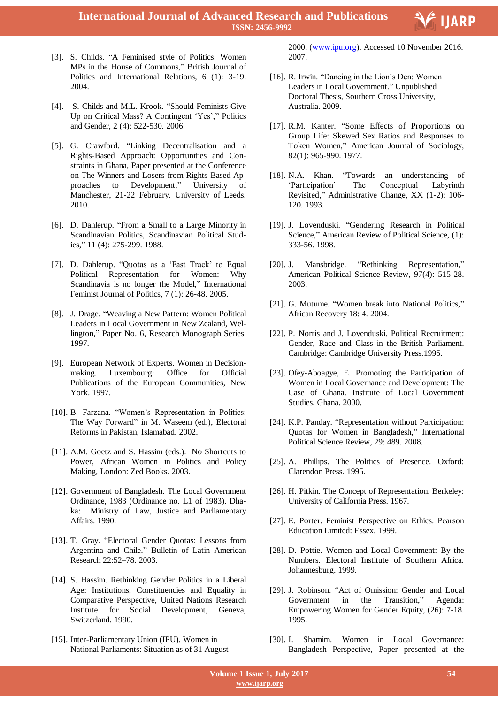

- [3]. S. Childs. "A Feminised style of Politics: Women MPs in the House of Commons," British Journal of Politics and International Relations, 6 (1): 3-19. 2004.
- [4]. S. Childs and M.L. Krook. "Should Feminists Give Up on Critical Mass? A Contingent 'Yes'," Politics and Gender, 2 (4): 522-530. 2006.
- [5]. G. Crawford. "Linking Decentralisation and a Rights-Based Approach: Opportunities and Constraints in Ghana, Paper presented at the Conference on The Winners and Losers from Rights-Based Approaches to Development," University of Manchester, 21-22 February. University of Leeds. 2010.
- [6]. D. Dahlerup. "From a Small to a Large Minority in Scandinavian Politics, Scandinavian Political Studies," 11 (4): 275-299. 1988.
- [7]. D. Dahlerup. "Quotas as a "Fast Track" to Equal Political Representation for Women: Why Scandinavia is no longer the Model," International Feminist Journal of Politics, 7 (1): 26-48. 2005.
- [8]. J. Drage. "Weaving a New Pattern: Women Political Leaders in Local Government in New Zealand, Wellington," Paper No. 6, Research Monograph Series. 1997.
- [9]. European Network of Experts. Women in Decisionmaking. Luxembourg: Office for Official Publications of the European Communities, New York. 1997.
- [10]. B. Farzana. "Women's Representation in Politics: The Way Forward" in M. Waseem (ed.), Electoral Reforms in Pakistan, Islamabad. 2002.
- [11]. A.M. Goetz and S. Hassim (eds.). No Shortcuts to Power, African Women in Politics and Policy Making, London: Zed Books. 2003.
- [12]. Government of Bangladesh. The Local Government Ordinance, 1983 (Ordinance no. L1 of 1983). Dhaka: Ministry of Law, Justice and Parliamentary Affairs. 1990.
- [13]. T. Gray. "Electoral Gender Quotas: Lessons from Argentina and Chile." Bulletin of Latin American Research 22:52–78. 2003.
- [14]. S. Hassim. Rethinking Gender Politics in a Liberal Age: Institutions, Constituencies and Equality in Comparative Perspective, United Nations Research Institute for Social Development, Geneva, Switzerland. 1990.
- [15]. Inter-Parliamentary Union (IPU). Women in National Parliaments: Situation as of 31 August

 2000. (www.ipu.org). Accessed 10 November 2016. 2007.

- [16]. R. Irwin. "Dancing in the Lion's Den: Women Leaders in Local Government." Unpublished Doctoral Thesis, Southern Cross University, Australia. 2009.
- [17]. R.M. Kanter. "Some Effects of Proportions on Group Life: Skewed Sex Ratios and Responses to Token Women," American Journal of Sociology, 82(1): 965-990. 1977.
- [18]. N.A. Khan. "Towards an understanding of "Participation": The Conceptual Labyrinth Revisited," Administrative Change, XX (1-2): 106- 120. 1993.
- [19]. J. Lovenduski. "Gendering Research in Political Science," American Review of Political Science, (1): 333-56. 1998.
- [20]. J. Mansbridge. "Rethinking Representation," American Political Science Review, 97(4): 515-28. 2003.
- [21]. G. Mutume. "Women break into National Politics," African Recovery 18: 4. 2004.
- [22]. P. Norris and J. Lovenduski. Political Recruitment: Gender, Race and Class in the British Parliament. Cambridge: Cambridge University Press.1995.
- [23]. Ofey-Aboagye, E. Promoting the Participation of Women in Local Governance and Development: The Case of Ghana. Institute of Local Government Studies, Ghana. 2000.
- [24]. K.P. Panday. "Representation without Participation: Quotas for Women in Bangladesh," International Political Science Review, 29: 489. 2008.
- [25]. A. Phillips. The Politics of Presence. Oxford: Clarendon Press. 1995.
- [26]. H. Pitkin. The Concept of Representation. Berkeley: University of California Press. 1967.
- [27]. E. Porter. Feminist Perspective on Ethics. Pearson Education Limited: Essex. 1999.
- [28]. D. Pottie. Women and Local Government: By the Numbers. Electoral Institute of Southern Africa. Johannesburg. 1999.
- [29]. J. Robinson. "Act of Omission: Gender and Local Government in the Transition," Agenda: Empowering Women for Gender Equity, (26): 7-18. 1995.
- [30]. I. Shamim. Women in Local Governance: Bangladesh Perspective, Paper presented at the